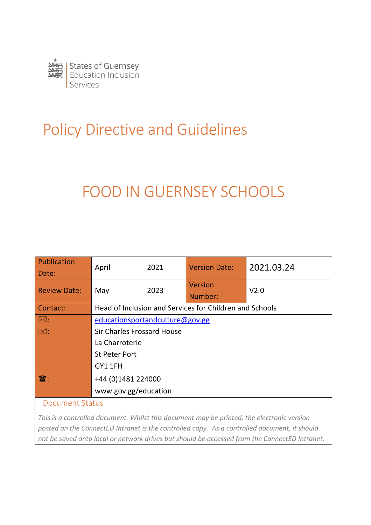

# Policy Directive and Guidelines

# FOOD IN GUERNSEY SCHOOLS

| Publication<br>Date:  | April                                                   | 2021 | <b>Version Date:</b>      | 2021.03.24       |
|-----------------------|---------------------------------------------------------|------|---------------------------|------------------|
| <b>Review Date:</b>   | May                                                     | 2023 | <b>Version</b><br>Number: | V <sub>2.0</sub> |
| Contact:              | Head of Inclusion and Services for Children and Schools |      |                           |                  |
| $\boxtimes:$          | educationsportandculture@gov.gg                         |      |                           |                  |
| $\Box$                | Sir Charles Frossard House                              |      |                           |                  |
|                       | La Charroterie                                          |      |                           |                  |
|                       | <b>St Peter Port</b>                                    |      |                           |                  |
|                       | GY1 1FH                                                 |      |                           |                  |
| $\mathbf{\mathbf{F}}$ | +44 (0)1481 224000                                      |      |                           |                  |
|                       | www.gov.gg/education                                    |      |                           |                  |

#### Document Status

*This is a controlled document. Whilst this document may be printed, the electronic version posted on the ConnectED Intranet is the controlled copy. As a controlled document, it should not be saved onto local or network drives but should be accessed from the ConnectED Intranet.*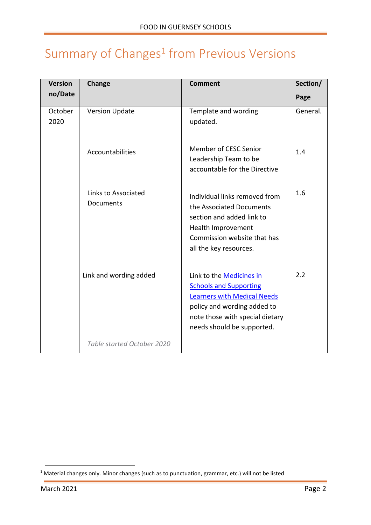# <span id="page-1-0"></span>Summary of  $Changes<sup>1</sup>$  from Previous Versions

| <b>Version</b>  | Change                           | <b>Comment</b>                                                                                                                                                                                         | Section/ |
|-----------------|----------------------------------|--------------------------------------------------------------------------------------------------------------------------------------------------------------------------------------------------------|----------|
| no/Date         |                                  |                                                                                                                                                                                                        | Page     |
| October<br>2020 | <b>Version Update</b>            | Template and wording<br>updated.                                                                                                                                                                       | General. |
|                 | Accountabilities                 | Member of CESC Senior<br>Leadership Team to be<br>accountable for the Directive                                                                                                                        | 1.4      |
|                 | Links to Associated<br>Documents | Individual links removed from<br>the Associated Documents<br>section and added link to<br>Health Improvement<br>Commission website that has<br>all the key resources.                                  | 1.6      |
|                 | Link and wording added           | Link to the <b>Medicines in</b><br><b>Schools and Supporting</b><br><b>Learners with Medical Needs</b><br>policy and wording added to<br>note those with special dietary<br>needs should be supported. | 2.2      |
|                 | Table started October 2020       |                                                                                                                                                                                                        |          |

<sup>1</sup> Material changes only. Minor changes (such as to punctuation, grammar, etc.) will not be listed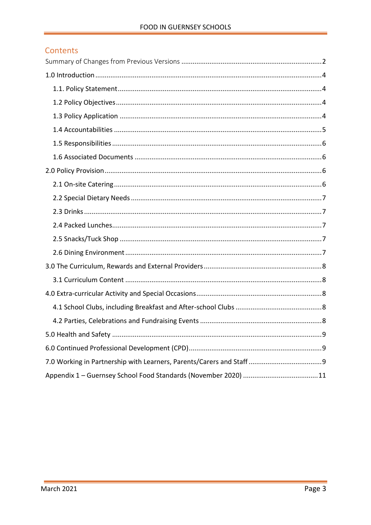#### Contents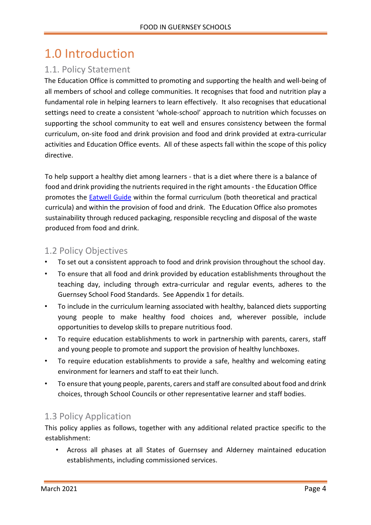### <span id="page-3-0"></span>1.0 Introduction

### <span id="page-3-1"></span>1.1. Policy Statement

The Education Office is committed to promoting and supporting the health and well-being of all members of school and college communities. It recognises that food and nutrition play a fundamental role in helping learners to learn effectively. It also recognises that educational settings need to create a consistent 'whole-school' approach to nutrition which focusses on supporting the school community to eat well and ensures consistency between the formal curriculum, on-site food and drink provision and food and drink provided at extra-curricular activities and Education Office events. All of these aspects fall within the scope of this policy directive.

To help support a healthy diet among learners - that is a diet where there is a balance of food and drink providing the nutrients required in the right amounts - the Education Office promotes the [Eatwell Guide](https://www.nhs.uk/live-well/eat-well/the-eatwell-guide/) within the formal curriculum (both theoretical and practical curricula) and within the provision of food and drink. The Education Office also promotes sustainability through reduced packaging, responsible recycling and disposal of the waste produced from food and drink.

#### <span id="page-3-2"></span>1.2 Policy Objectives

- To set out a consistent approach to food and drink provision throughout the school day.
- To ensure that all food and drink provided by education establishments throughout the teaching day, including through extra-curricular and regular events, adheres to the Guernsey School Food Standards. See Appendix 1 for details.
- To include in the curriculum learning associated with healthy, balanced diets supporting young people to make healthy food choices and, wherever possible, include opportunities to develop skills to prepare nutritious food.
- To require education establishments to work in partnership with parents, carers, staff and young people to promote and support the provision of healthy lunchboxes.
- To require education establishments to provide a safe, healthy and welcoming eating environment for learners and staff to eat their lunch.
- To ensure that young people, parents, carers and staff are consulted about food and drink choices, through School Councils or other representative learner and staff bodies.

#### <span id="page-3-3"></span>1.3 Policy Application

This policy applies as follows, together with any additional related practice specific to the establishment:

• Across all phases at all States of Guernsey and Alderney maintained education establishments, including commissioned services.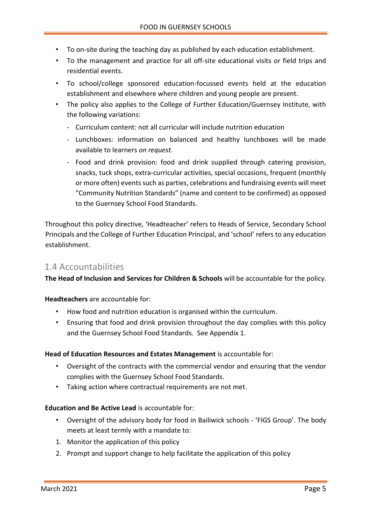- To on-site during the teaching day as published by each education establishment.
- To the management and practice for all off-site educational visits or field trips and residential events.
- To school/college sponsored education-focussed events held at the education establishment and elsewhere where children and young people are present.
- The policy also applies to the College of Further Education/Guernsey Institute, with the following variations:
	- Curriculum content: not all curricular will include nutrition education
	- Lunchboxes: information on balanced and healthy lunchboxes will be made available to learners *on request.*
	- Food and drink provision: food and drink supplied through catering provision, snacks, tuck shops, extra-curricular activities, special occasions, frequent (monthly or more often) events such as parties, celebrations and fundraising events will meet "Community Nutrition Standards" (name and content to be confirmed) as opposed to the Guernsey School Food Standards.

Throughout this policy directive, 'Headteacher' refers to Heads of Service, Secondary School Principals and the College of Further Education Principal, and 'school' refers to any education establishment.

#### <span id="page-4-0"></span>1.4 Accountabilities

**The Head of Inclusion and Services for Children & Schools** will be accountable for the policy.

**Headteachers** are accountable for:

- How food and nutrition education is organised within the curriculum.
- Ensuring that food and drink provision throughout the day complies with this policy and the Guernsey School Food Standards. See Appendix 1.

#### **Head of Education Resources and Estates Management** is accountable for:

- Oversight of the contracts with the commercial vendor and ensuring that the vendor complies with the Guernsey School Food Standards.
- Taking action where contractual requirements are not met.

#### **Education and Be Active Lead** is accountable for:

- Oversight of the advisory body for food in Bailiwick schools 'FIGS Group'. The body meets at least termly with a mandate to:
- 1. Monitor the application of this policy
- 2. Prompt and support change to help facilitate the application of this policy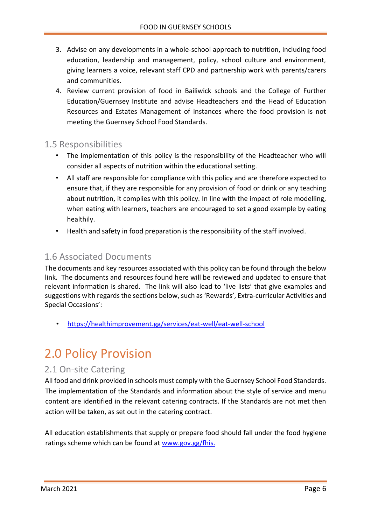- 3. Advise on any developments in a whole-school approach to nutrition, including food education, leadership and management, policy, school culture and environment, giving learners a voice, relevant staff CPD and partnership work with parents/carers and communities.
- 4. Review current provision of food in Bailiwick schools and the College of Further Education/Guernsey Institute and advise Headteachers and the Head of Education Resources and Estates Management of instances where the food provision is not meeting the Guernsey School Food Standards.

#### <span id="page-5-0"></span>1.5 Responsibilities

- The implementation of this policy is the responsibility of the Headteacher who will consider all aspects of nutrition within the educational setting.
- All staff are responsible for compliance with this policy and are therefore expected to ensure that, if they are responsible for any provision of food or drink or any teaching about nutrition, it complies with this policy. In line with the impact of role modelling, when eating with learners, teachers are encouraged to set a good example by eating healthily.
- Health and safety in food preparation is the responsibility of the staff involved.

#### <span id="page-5-1"></span>1.6 Associated Documents

The documents and key resources associated with this policy can be found through the below link. The documents and resources found here will be reviewed and updated to ensure that relevant information is shared. The link will also lead to 'live lists' that give examples and suggestions with regards the sections below, such as 'Rewards', Extra-curricular Activities and Special Occasions':

• <https://healthimprovement.gg/services/eat-well/eat-well-school>

### <span id="page-5-2"></span>2.0 Policy Provision

#### <span id="page-5-3"></span>2.1 On-site Catering

All food and drink provided in schools must comply with the Guernsey School Food Standards. The implementation of the Standards and information about the style of service and menu content are identified in the relevant catering contracts. If the Standards are not met then action will be taken, as set out in the catering contract.

All education establishments that supply or prepare food should fall under the food hygiene ratings scheme which can be found at [www.gov.gg/fhis.](http://www.gov.gg/fhis)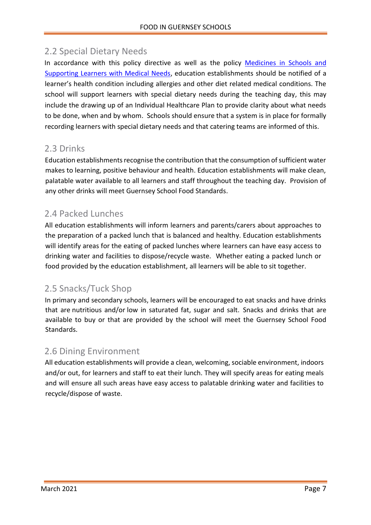### <span id="page-6-0"></span>2.2 Special Dietary Needs

In accordance with this policy directive as well as the policy Medicines in Schools and [Supporting Learners with Medical Needs,](http://bridge/teamsite/education/policies/Medicines%20and%20Medical%20Needs%20in%20Schools/Forms/AllItems.aspx) education establishments should be notified of a learner's health condition including allergies and other diet related medical conditions. The school will support learners with special dietary needs during the teaching day, this may include the drawing up of an Individual Healthcare Plan to provide clarity about what needs to be done, when and by whom. Schools should ensure that a system is in place for formally recording learners with special dietary needs and that catering teams are informed of this.

#### <span id="page-6-1"></span>2.3 Drinks

Education establishments recognise the contribution that the consumption of sufficient water makes to learning, positive behaviour and health. Education establishments will make clean, palatable water available to all learners and staff throughout the teaching day. Provision of any other drinks will meet Guernsey School Food Standards.

### <span id="page-6-2"></span>2.4 Packed Lunches

All education establishments will inform learners and parents/carers about approaches to the preparation of a packed lunch that is balanced and healthy. Education establishments will identify areas for the eating of packed lunches where learners can have easy access to drinking water and facilities to dispose/recycle waste. Whether eating a packed lunch or food provided by the education establishment, all learners will be able to sit together.

#### <span id="page-6-3"></span>2.5 Snacks/Tuck Shop

In primary and secondary schools, learners will be encouraged to eat snacks and have drinks that are nutritious and/or low in saturated fat, sugar and salt. Snacks and drinks that are available to buy or that are provided by the school will meet the Guernsey School Food Standards.

#### <span id="page-6-4"></span>2.6 Dining Environment

All education establishments will provide a clean, welcoming, sociable environment, indoors and/or out, for learners and staff to eat their lunch. They will specify areas for eating meals and will ensure all such areas have easy access to palatable drinking water and facilities to recycle/dispose of waste.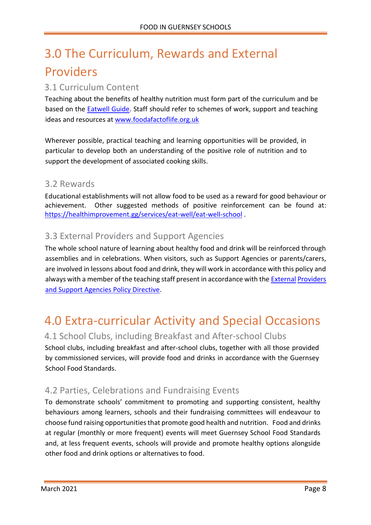## <span id="page-7-0"></span>3.0 The Curriculum, Rewards and External Providers

#### <span id="page-7-1"></span>3.1 Curriculum Content

Teaching about the benefits of healthy nutrition must form part of the curriculum and be based on the [Eatwell G](http://www.nhs.uk/Livewell/Goodfood/Pages/eatwell-plate.aspx)uid[e.](http://www.nhs.uk/Livewell/Goodfood/Pages/eatwell-plate.aspx) Staff should refer to schemes of work, support and teaching ideas and resources at [www.foodafactoflife.org.uk](http://www.foodafactoflife.org.uk/)

Wherever possible, practical teaching and learning opportunities will be provided, in particular to develop both an understanding of the positive role of nutrition and to support the development of associated cooking skills.

#### 3.2 Rewards

Educational establishments will not allow food to be used as a reward for good behaviour or achievement. Other suggested methods of positive reinforcement can be found at: <https://healthimprovement.gg/services/eat-well/eat-well-school> .

#### 3.3 External Providers and Support Agencies

The whole school nature of learning about healthy food and drink will be reinforced through assemblies and in celebrations. When visitors, such as Support Agencies or parents/carers, are involved in lessons about food and drink, they will work in accordance with this policy and always with a member of the teaching staff present in accordance with the [External](http://bridge/teamsite/education/policies/External%20Providers/Forms/AllItems.aspx) Providers [and Support Agencies Policy Directive.](http://bridge/teamsite/education/policies/External%20Providers/Forms/AllItems.aspx)

### <span id="page-7-2"></span>4.0 Extra-curricular Activity and Special Occasions

#### <span id="page-7-3"></span>4.1 School Clubs, including Breakfast and After-school Clubs

School clubs, including breakfast and after-school clubs, together with all those provided by commissioned services, will provide food and drinks in accordance with the Guernsey School Food Standards.

#### <span id="page-7-4"></span>4.2 Parties, Celebrations and Fundraising Events

To demonstrate schools' commitment to promoting and supporting consistent, healthy behaviours among learners, schools and their fundraising committees will endeavour to choose fund raising opportunities that promote good health and nutrition. Food and drinks at regular (monthly or more frequent) events will meet Guernsey School Food Standards and, at less frequent events, schools will provide and promote healthy options alongside other food and drink options or alternatives to food.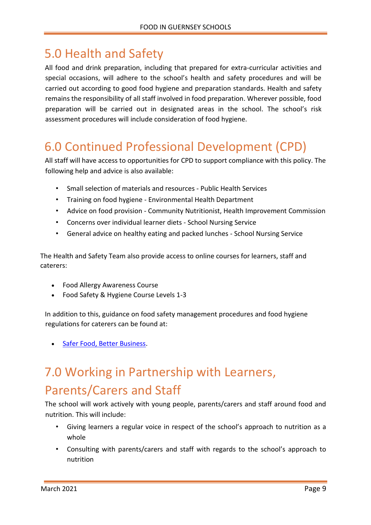### <span id="page-8-0"></span>5.0 Health and Safety

All food and drink preparation, including that prepared for extra-curricular activities and special occasions, will adhere to the school's health and safety procedures and will be carried out according to good food hygiene and preparation standards. Health and safety remains the responsibility of all staff involved in food preparation. Wherever possible, food preparation will be carried out in designated areas in the school. The school's risk assessment procedures will include consideration of food hygiene.

## <span id="page-8-1"></span>6.0 Continued Professional Development (CPD)

All staff will have access to opportunities for CPD to support compliance with this policy. The following help and advice is also available:

- Small selection of materials and resources Public Health Services
- Training on food hygiene Environmental Health Department
- Advice on food provision Community Nutritionist, Health Improvement Commission
- Concerns over individual learner diets School Nursing Service
- General advice on healthy eating and packed lunches School Nursing Service

The Health and Safety Team also provide access to online courses for learners, staff and caterers:

- Food Allergy Awareness Course
- Food Safety & Hygiene Course Levels 1-3

In addition to this, guidance on food safety management procedures and food hygiene regulations for caterers can be found at:

[Safer Food, Better Business.](https://www.food.gov.uk/business-guidance/safer-food-better-business)

## <span id="page-8-2"></span>7.0 Working in Partnership with Learners, Parents/Carers and Staff

The school will work actively with young people, parents/carers and staff around food and nutrition. This will include:

- Giving learners a regular voice in respect of the school's approach to nutrition as a whole
- Consulting with parents/carers and staff with regards to the school's approach to nutrition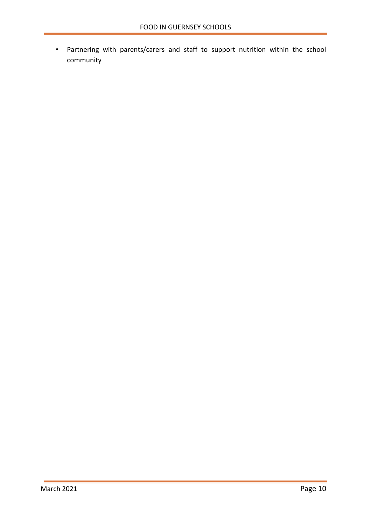• Partnering with parents/carers and staff to support nutrition within the school community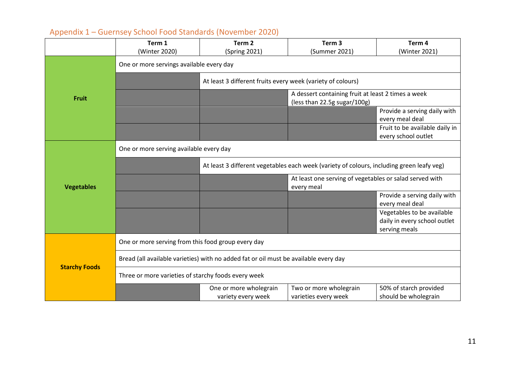<span id="page-10-0"></span>

|                      | Term 1                                                                                    | Term <sub>2</sub>                                                                  | Term <sub>3</sub>                                                     | Term 4                                          |  |
|----------------------|-------------------------------------------------------------------------------------------|------------------------------------------------------------------------------------|-----------------------------------------------------------------------|-------------------------------------------------|--|
|                      | (Winter 2020)                                                                             | (Spring 2021)                                                                      | (Summer 2021)                                                         | (Winter 2021)                                   |  |
|                      | One or more servings available every day                                                  |                                                                                    |                                                                       |                                                 |  |
| <b>Fruit</b>         |                                                                                           | At least 3 different fruits every week (variety of colours)                        |                                                                       |                                                 |  |
|                      |                                                                                           | A dessert containing fruit at least 2 times a week<br>(less than 22.5g sugar/100g) |                                                                       |                                                 |  |
|                      |                                                                                           |                                                                                    |                                                                       | Provide a serving daily with                    |  |
|                      |                                                                                           |                                                                                    |                                                                       | every meal deal                                 |  |
|                      |                                                                                           |                                                                                    |                                                                       | Fruit to be available daily in                  |  |
|                      |                                                                                           |                                                                                    |                                                                       | every school outlet                             |  |
| <b>Vegetables</b>    | One or more serving available every day                                                   |                                                                                    |                                                                       |                                                 |  |
|                      | At least 3 different vegetables each week (variety of colours, including green leafy veg) |                                                                                    |                                                                       |                                                 |  |
|                      |                                                                                           |                                                                                    | At least one serving of vegetables or salad served with<br>every meal |                                                 |  |
|                      |                                                                                           |                                                                                    |                                                                       | Provide a serving daily with<br>every meal deal |  |
|                      |                                                                                           |                                                                                    |                                                                       | Vegetables to be available                      |  |
|                      |                                                                                           |                                                                                    |                                                                       | daily in every school outlet                    |  |
|                      |                                                                                           |                                                                                    |                                                                       | serving meals                                   |  |
|                      | One or more serving from this food group every day                                        |                                                                                    |                                                                       |                                                 |  |
| <b>Starchy Foods</b> | Bread (all available varieties) with no added fat or oil must be available every day      |                                                                                    |                                                                       |                                                 |  |
|                      | Three or more varieties of starchy foods every week                                       |                                                                                    |                                                                       |                                                 |  |
|                      |                                                                                           | One or more wholegrain<br>variety every week                                       | Two or more wholegrain<br>varieties every week                        | 50% of starch provided<br>should be wholegrain  |  |

### Appendix 1 – Guernsey School Food Standards (November 2020)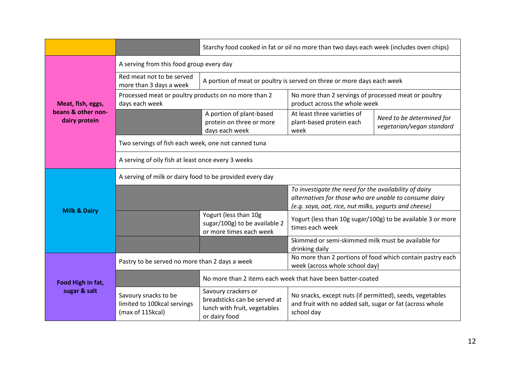|                                                          |                                                                         | Starchy food cooked in fat or oil no more than two days each week (includes oven chips)              |                                                                                                                                                                          |                                                        |  |
|----------------------------------------------------------|-------------------------------------------------------------------------|------------------------------------------------------------------------------------------------------|--------------------------------------------------------------------------------------------------------------------------------------------------------------------------|--------------------------------------------------------|--|
|                                                          | A serving from this food group every day                                |                                                                                                      |                                                                                                                                                                          |                                                        |  |
| Meat, fish, eggs,<br>beans & other non-<br>dairy protein | Red meat not to be served<br>more than 3 days a week                    | A portion of meat or poultry is served on three or more days each week                               |                                                                                                                                                                          |                                                        |  |
|                                                          | Processed meat or poultry products on no more than 2<br>days each week  |                                                                                                      | No more than 2 servings of processed meat or poultry<br>product across the whole week                                                                                    |                                                        |  |
|                                                          |                                                                         | A portion of plant-based<br>protein on three or more<br>days each week                               | At least three varieties of<br>plant-based protein each<br>week                                                                                                          | Need to be determined for<br>vegetarian/vegan standard |  |
|                                                          | Two servings of fish each week, one not canned tuna                     |                                                                                                      |                                                                                                                                                                          |                                                        |  |
|                                                          | A serving of oily fish at least once every 3 weeks                      |                                                                                                      |                                                                                                                                                                          |                                                        |  |
| <b>Milk &amp; Dairy</b>                                  | A serving of milk or dairy food to be provided every day                |                                                                                                      |                                                                                                                                                                          |                                                        |  |
|                                                          |                                                                         |                                                                                                      | To investigate the need for the availability of dairy<br>alternatives for those who are unable to consume dairy<br>(e.g. soya, oat, rice, nut milks, yogurts and cheese) |                                                        |  |
|                                                          |                                                                         | Yogurt (less than 10g<br>sugar/100g) to be available 2<br>or more times each week                    | Yogurt (less than 10g sugar/100g) to be available 3 or more<br>times each week                                                                                           |                                                        |  |
|                                                          |                                                                         |                                                                                                      | Skimmed or semi-skimmed milk must be available for<br>drinking daily                                                                                                     |                                                        |  |
| Food High in fat,<br>sugar & salt                        | Pastry to be served no more than 2 days a week                          |                                                                                                      | No more than 2 portions of food which contain pastry each<br>week (across whole school day)                                                                              |                                                        |  |
|                                                          |                                                                         | No more than 2 items each week that have been batter-coated                                          |                                                                                                                                                                          |                                                        |  |
|                                                          | Savoury snacks to be<br>limited to 100kcal servings<br>(max of 115kcal) | Savoury crackers or<br>breadsticks can be served at<br>lunch with fruit, vegetables<br>or dairy food | No snacks, except nuts (if permitted), seeds, vegetables<br>and fruit with no added salt, sugar or fat (across whole<br>school day                                       |                                                        |  |